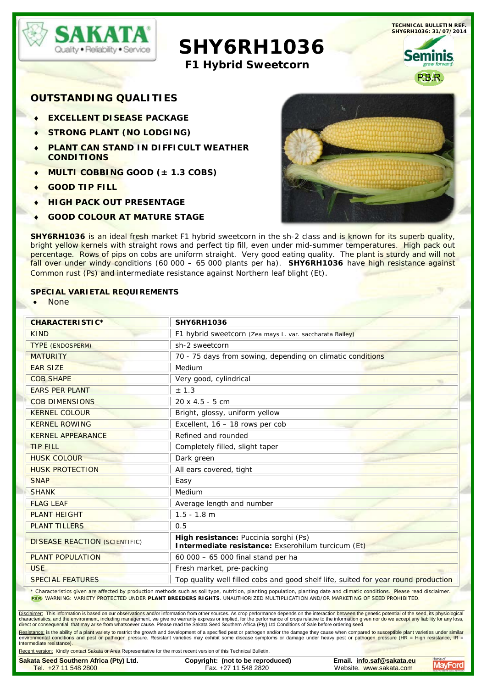

 **SHY6RH1036**

**F1 Hybrid Sweetcorn**

**OUTSTANDING QUALITIES**

- **EXCELLENT DISEASE PACKAGE**
- ♦ **STRONG PLANT (NO LODGING)**
- **PLANT CAN STAND IN DIFFICULT WEATHER CONDITIONS**
- ♦ **MULTI COBBING GOOD (± 1.3 COBS)**
- ♦ **GOOD TIP FILL**
- **HIGH PACK OUT PRESENTAGE**
- **GOOD COLOUR AT MATURE STAGE**



**TECHNICAL BULLETIN REF. SHY6RH1036: 31/07/2014**

**Seminis** 

**SHY6RH1036** is an ideal fresh market F1 hybrid sweetcorn in the sh-2 class and is known for its superb quality, bright yellow kernels with straight rows and perfect tip fill, even under mid-summer temperatures. High pack out percentage. Rows of pips on cobs are uniform straight. Very good eating quality. The plant is sturdy and will not fall over under windy conditions (60 000 – 65 000 plants per ha). **SHY6RH1036** have high resistance against Common rust (Ps) and intermediate resistance against Northern leaf blight (Et).

## **SPECIAL VARIETAL REQUIREMENTS**

• None

| <b>CHARACTERISTIC*</b>               | <b>SHY6RH1036</b>                                                                           |  |
|--------------------------------------|---------------------------------------------------------------------------------------------|--|
| <b>KIND</b>                          | F1 hybrid sweetcorn (Zea mays L. var. saccharata Bailey)                                    |  |
| <b>TYPE (ENDOSPERM)</b>              | sh-2 sweetcorn                                                                              |  |
| <b>MATURITY</b>                      | 70 - 75 days from sowing, depending on climatic conditions                                  |  |
| <b>EAR SIZE</b>                      | Medium                                                                                      |  |
| <b>COB SHAPE</b>                     | Very good, cylindrical                                                                      |  |
| <b>EARS PER PLANT</b>                | ± 1.3                                                                                       |  |
| <b>COB DIMENSIONS</b>                | $20 \times 4.5 - 5$ cm                                                                      |  |
| <b>KERNEL COLOUR</b>                 | Bright, glossy, uniform yellow                                                              |  |
| <b>KERNEL ROWING</b>                 | Excellent, 16 - 18 rows per cob                                                             |  |
| <b>KERNEL APPEARANCE</b>             | Refined and rounded                                                                         |  |
| <b>TIP FILL</b>                      | Completely filled, slight taper                                                             |  |
| <b>HUSK COLOUR</b>                   | Dark green                                                                                  |  |
| <b>HUSK PROTECTION</b>               | All ears covered, tight                                                                     |  |
| <b>SNAP</b>                          | Easy                                                                                        |  |
| <b>SHANK</b>                         | Medium                                                                                      |  |
| <b>FLAG LEAF</b>                     | Average length and number                                                                   |  |
| <b>PLANT HEIGHT</b>                  | $1.5 - 1.8$ m                                                                               |  |
| <b>PLANT TILLERS</b>                 | 0.5                                                                                         |  |
| <b>DISEASE REACTION (SCIENTIFIC)</b> | High resistance: Puccinia sorghi (Ps)<br>Intermediate resistance: Exserohilum turcicum (Et) |  |
| <b>PLANT POPULATION</b>              | 60 000 - 65 000 final stand per ha                                                          |  |
| <b>USE</b>                           | Fresh market, pre-packing                                                                   |  |
| <b>SPECIAL FEATURES</b>              | Top quality well filled cobs and good shelf life, suited for year round production          |  |

\* Characteristics given are affected by production methods such as soil type, nutrition, planting population, planting date and climatic conditions. Please read disclaimer. WARNING: VARIETY PROTECTED UNDER **PLANT BREEDERS RIGHTS**. UNAUTHORIZED MULTIPLICATION AND/OR MARKETING OF SEED PROHIBITED.

Disclaimer: This information is based on our observations and/or information from other sources. As crop performance depends on the interaction between the genetic potential of the seed, its physiological characteristics, and the environment, including management, we give no warranty express or implied, for the performance of crops relative to the information given nor do we accept any liability for any loss,<br>direct or cons

Resistance; is the ability of a plant variety to restrict the growth and development of a specified pest or pathogen and/or the damage they cause when compared to susceptible plant varieties under similar<br>environmental con Intermediate resistance).

ent version: Kindly contact Sakata or Area Representative for the most recent version of this Technical Bulletin

| Sakata Seed Southern Africa (Pty) Ltd. | Copyright: (not to be reproduced) | Email. info.saf@sakata.eu | Home of                                                |
|----------------------------------------|-----------------------------------|---------------------------|--------------------------------------------------------|
| Tel. +27 11 548 2800                   | Fax. +27 11 548 2820              | Website. www.sakata.com   | <b>MayFord</b><br><b>CAMLITY SEEDS YORAL ITEITEAAC</b> |
|                                        |                                   |                           |                                                        |